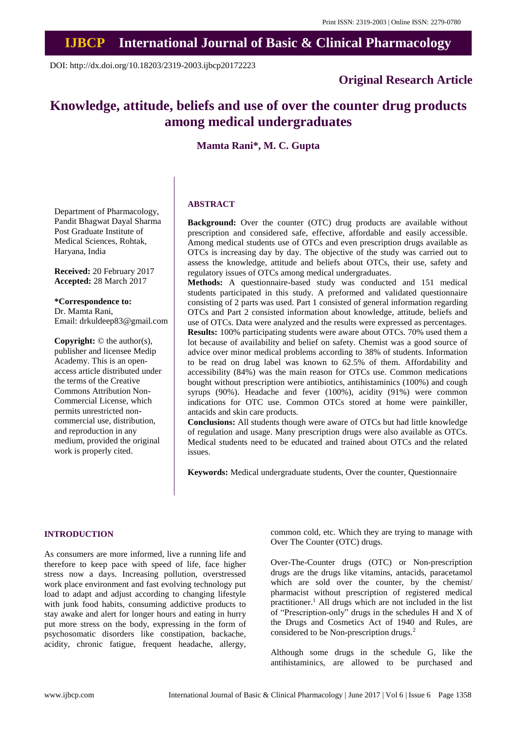# **IJBCP International Journal of Basic & Clinical Pharmacology**

DOI: http://dx.doi.org/10.18203/2319-2003.ijbcp20172223

## **Original Research Article**

# **Knowledge, attitude, beliefs and use of over the counter drug products among medical undergraduates**

## **Mamta Rani\*, M. C. Gupta**

Department of Pharmacology, Pandit Bhagwat Dayal Sharma Post Graduate Institute of Medical Sciences, Rohtak, Haryana, India

**Received:** 20 February 2017 **Accepted:** 28 March 2017

**\*Correspondence to:** Dr. Mamta Rani, Email: drkuldeep83@gmail.com

**Copyright:** © the author(s), publisher and licensee Medip Academy. This is an openaccess article distributed under the terms of the Creative Commons Attribution Non-Commercial License, which permits unrestricted noncommercial use, distribution, and reproduction in any medium, provided the original work is properly cited.

### **ABSTRACT**

**Background:** Over the counter (OTC) drug products are available without prescription and considered safe, effective, affordable and easily accessible. Among medical students use of OTCs and even prescription drugs available as OTCs is increasing day by day. The objective of the study was carried out to assess the knowledge, attitude and beliefs about OTCs, their use, safety and regulatory issues of OTCs among medical undergraduates.

**Methods:** A questionnaire-based study was conducted and 151 medical students participated in this study. A preformed and validated questionnaire consisting of 2 parts was used. Part 1 consisted of general information regarding OTCs and Part 2 consisted information about knowledge, attitude, beliefs and use of OTCs. Data were analyzed and the results were expressed as percentages. **Results:** 100% participating students were aware about OTCs. 70% used them a lot because of availability and belief on safety. Chemist was a good source of advice over minor medical problems according to 38% of students. Information to be read on drug label was known to 62.5% of them. Affordability and accessibility (84%) was the main reason for OTCs use. Common medications bought without prescription were antibiotics, antihistaminics (100%) and cough syrups (90%). Headache and fever (100%), acidity (91%) were common indications for OTC use. Common OTCs stored at home were painkiller, antacids and skin care products.

**Conclusions:** All students though were aware of OTCs but had little knowledge of regulation and usage. Many prescription drugs were also available as OTCs. Medical students need to be educated and trained about OTCs and the related issues.

**Keywords:** Medical undergraduate students, Over the counter, Questionnaire

#### **INTRODUCTION**

As consumers are more informed, live a running life and therefore to keep pace with speed of life, face higher stress now a days. Increasing pollution, overstressed work place environment and fast evolving technology put load to adapt and adjust according to changing lifestyle with junk food habits, consuming addictive products to stay awake and alert for longer hours and eating in hurry put more stress on the body, expressing in the form of psychosomatic disorders like constipation, backache, acidity, chronic fatigue, frequent headache, allergy, common cold, etc. Which they are trying to manage with Over The Counter (OTC) drugs.

Over-The-Counter drugs (OTC) or Non-prescription drugs are the drugs like vitamins, antacids, paracetamol which are sold over the counter, by the chemist/ pharmacist without prescription of registered medical practitioner.<sup>1</sup> All drugs which are not included in the list of "Prescription-only" drugs in the schedules H and X of the Drugs and Cosmetics Act of 1940 and Rules, are considered to be Non-prescription drugs.<sup>2</sup>

Although some drugs in the schedule G, like the antihistaminics, are allowed to be purchased and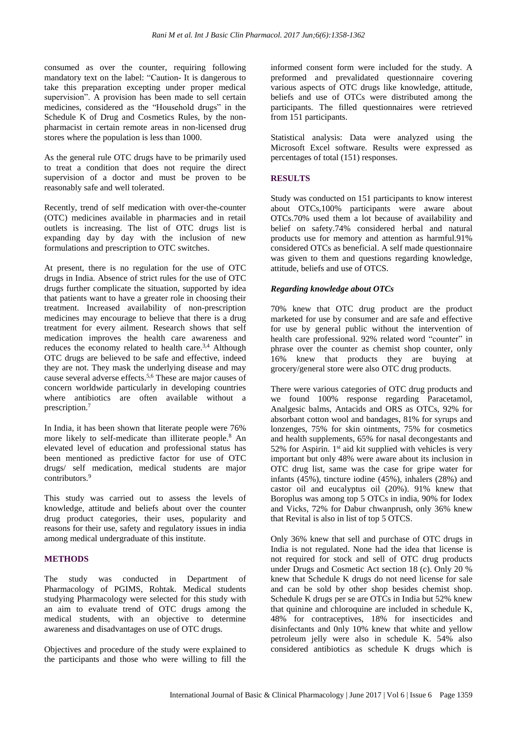consumed as over the counter, requiring following mandatory text on the label: "Caution- It is dangerous to take this preparation excepting under proper medical supervision". A provision has been made to sell certain medicines, considered as the "Household drugs" in the Schedule K of Drug and Cosmetics Rules, by the nonpharmacist in certain remote areas in non-licensed drug stores where the population is less than 1000.

As the general rule OTC drugs have to be primarily used to treat a condition that does not require the direct supervision of a doctor and must be proven to be reasonably safe and well tolerated.

Recently, trend of self medication with over-the-counter (OTC) medicines available in pharmacies and in retail outlets is increasing. The list of OTC drugs list is expanding day by day with the inclusion of new formulations and prescription to OTC switches.

At present, there is no regulation for the use of OTC drugs in India. Absence of strict rules for the use of OTC drugs further complicate the situation, supported by idea that patients want to have a greater role in choosing their treatment. Increased availability of non-prescription medicines may encourage to believe that there is a drug treatment for every ailment. Research shows that self medication improves the health care awareness and reduces the economy related to health care.<sup>3,4</sup> Although OTC drugs are believed to be safe and effective, indeed they are not. They mask the underlying disease and may cause several adverse effects.5,6 These are major causes of concern worldwide particularly in developing countries where antibiotics are often available without a prescription.<sup>7</sup>

In India, it has been shown that literate people were 76% more likely to self-medicate than illiterate people.<sup>8</sup> An elevated level of education and professional status has been mentioned as predictive factor for use of OTC drugs/ self medication, medical students are major contributors.<sup>9</sup>

This study was carried out to assess the levels of knowledge, attitude and beliefs about over the counter drug product categories, their uses, popularity and reasons for their use, safety and regulatory issues in india among medical undergraduate of this institute.

## **METHODS**

The study was conducted in Department of Pharmacology of PGIMS, Rohtak. Medical students studying Pharmacology were selected for this study with an aim to evaluate trend of OTC drugs among the medical students, with an objective to determine awareness and disadvantages on use of OTC drugs.

Objectives and procedure of the study were explained to the participants and those who were willing to fill the informed consent form were included for the study. A preformed and prevalidated questionnaire covering various aspects of OTC drugs like knowledge, attitude, beliefs and use of OTCs were distributed among the participants. The filled questionnaires were retrieved from 151 participants.

Statistical analysis: Data were analyzed using the Microsoft Excel software. Results were expressed as percentages of total (151) responses.

## **RESULTS**

Study was conducted on 151 participants to know interest about OTCs,100% participants were aware about OTCs.70% used them a lot because of availability and belief on safety.74% considered herbal and natural products use for memory and attention as harmful.91% considered OTCs as beneficial. A self made questionnaire was given to them and questions regarding knowledge, attitude, beliefs and use of OTCS.

## *Regarding knowledge about OTCs*

70% knew that OTC drug product are the product marketed for use by consumer and are safe and effective for use by general public without the intervention of health care professional. 92% related word "counter" in phrase over the counter as chemist shop counter, only 16% knew that products they are buying at grocery/general store were also OTC drug products.

There were various categories of OTC drug products and we found 100% response regarding Paracetamol, Analgesic balms, Antacids and ORS as OTCs, 92% for absorbant cotton wool and bandages, 81% for syrups and lonzenges, 75% for skin ointments, 75% for cosmetics and health supplements, 65% for nasal decongestants and 52% for Aspirin. 1<sup>st</sup> aid kit supplied with vehicles is very important but only 48% were aware about its inclusion in OTC drug list, same was the case for gripe water for infants (45%), tincture iodine (45%), inhalers (28%) and castor oil and eucalyptus oil (20%). 91% knew that Boroplus was among top 5 OTCs in india, 90% for Iodex and Vicks, 72% for Dabur chwanprush, only 36% knew that Revital is also in list of top 5 OTCS.

Only 36% knew that sell and purchase of OTC drugs in India is not regulated. None had the idea that license is not required for stock and sell of OTC drug products under Drugs and Cosmetic Act section 18 (c). Only 20 % knew that Schedule K drugs do not need license for sale and can be sold by other shop besides chemist shop. Schedule K drugs per se are OTCs in India but 52% knew that quinine and chloroquine are included in schedule K, 48% for contraceptives, 18% for insecticides and disinfectants and 0nly 10% knew that white and yellow petroleum jelly were also in schedule K. 54% also considered antibiotics as schedule K drugs which is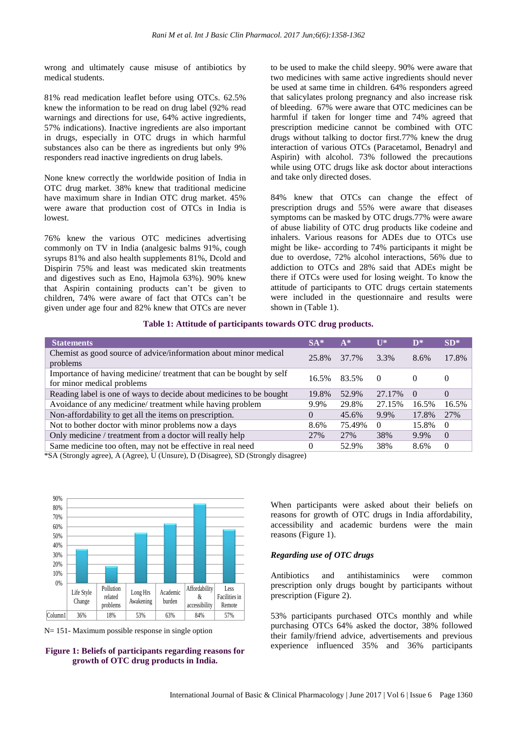wrong and ultimately cause misuse of antibiotics by medical students.

81% read medication leaflet before using OTCs. 62.5% knew the information to be read on drug label (92% read warnings and directions for use, 64% active ingredients, 57% indications). Inactive ingredients are also important in drugs, especially in OTC drugs in which harmful substances also can be there as ingredients but only 9% responders read inactive ingredients on drug labels.

None knew correctly the worldwide position of India in OTC drug market. 38% knew that traditional medicine have maximum share in Indian OTC drug market. 45% were aware that production cost of OTCs in India is lowest.

76% knew the various OTC medicines advertising commonly on TV in India (analgesic balms 91%, cough syrups 81% and also health supplements 81%, Dcold and Dispirin 75% and least was medicated skin treatments and digestives such as Eno, Hajmola 63%). 90% knew that Aspirin containing products can't be given to children, 74% were aware of fact that OTCs can't be given under age four and 82% knew that OTCs are never to be used to make the child sleepy. 90% were aware that two medicines with same active ingredients should never be used at same time in children. 64% responders agreed that salicylates prolong pregnancy and also increase risk of bleeding. 67% were aware that OTC medicines can be harmful if taken for longer time and 74% agreed that prescription medicine cannot be combined with OTC drugs without talking to doctor first.77% knew the drug interaction of various OTCs (Paracetamol, Benadryl and Aspirin) with alcohol. 73% followed the precautions while using OTC drugs like ask doctor about interactions and take only directed doses.

84% knew that OTCs can change the effect of prescription drugs and 55% were aware that diseases symptoms can be masked by OTC drugs.77% were aware of abuse liability of OTC drug products like codeine and inhalers. Various reasons for ADEs due to OTCs use might be like- according to 74% participants it might be due to overdose, 72% alcohol interactions, 56% due to addiction to OTCs and 28% said that ADEs might be there if OTCs were used for losing weight. To know the attitude of participants to OTC drugs certain statements were included in the questionnaire and results were shown in (Table 1).

#### **Table 1: Attitude of participants towards OTC drug products.**

| <b>Statements</b>                                                                                 | $SA*$    | $A^*$  | $\mathbf{I}$ | $\mathbf{D}^*$ | $SD*$            |
|---------------------------------------------------------------------------------------------------|----------|--------|--------------|----------------|------------------|
| Chemist as good source of advice/information about minor medical<br>problems                      | 25.8%    | 37.7%  | 3.3%         | 8.6%           | 17.8%            |
| Importance of having medicine/ treatment that can be bought by self<br>for minor medical problems | 16.5%    | 83.5%  | $\Omega$     | $\theta$       | $\left( \right)$ |
| Reading label is one of ways to decide about medicines to be bought                               | 19.8%    | 52.9%  | 27.17%       | $\Omega$       | $\theta$         |
| Avoidance of any medicine/ treatment while having problem                                         | 9.9%     | 29.8%  | 27.15%       | 16.5%          | 16.5%            |
| Non-affordability to get all the items on prescription.                                           | $\theta$ | 45.6%  | 9.9%         | 17.8%          | 27%              |
| Not to bother doctor with minor problems now a days                                               | 8.6%     | 75.49% | $\Omega$     | 15.8%          | $\theta$         |
| Only medicine / treatment from a doctor will really help                                          | 27%      | 27%    | 38%          | 9.9%           | $\Omega$         |
| Same medicine too often, may not be effective in real need                                        | 0        | 52.9%  | 38%          | 8.6%           | $\Omega$         |

\*SA (Strongly agree), A (Agree), U (Unsure), D (Disagree), SD (Strongly disagree)



N= 151- Maximum possible response in single option



When participants were asked about their beliefs on reasons for growth of OTC drugs in India affordability, accessibility and academic burdens were the main reasons (Figure 1).

## *Regarding use of OTC drugs*

Antibiotics and antihistaminics were common prescription only drugs bought by participants without prescription (Figure 2).

53% participants purchased OTCs monthly and while purchasing OTCs 64% asked the doctor, 38% followed their family/friend advice, advertisements and previous experience influenced 35% and 36% participants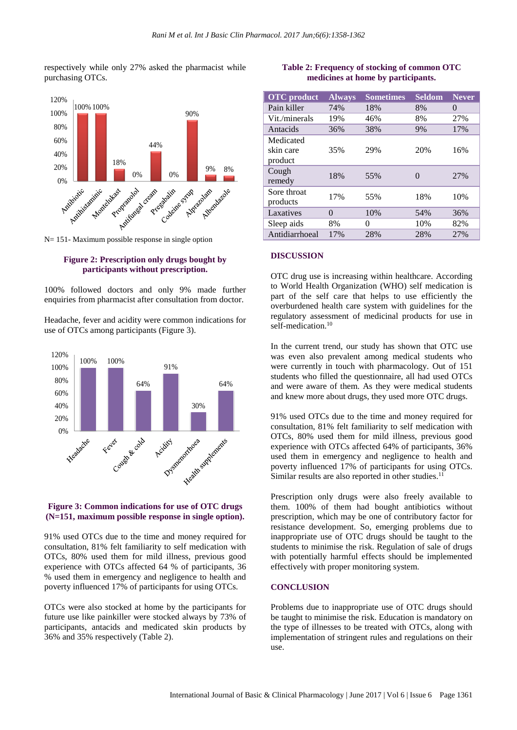respectively while only 27% asked the pharmacist while purchasing OTCs.



N= 151- Maximum possible response in single option

#### **Figure 2: Prescription only drugs bought by participants without prescription.**

100% followed doctors and only 9% made further enquiries from pharmacist after consultation from doctor.

Headache, fever and acidity were common indications for use of OTCs among participants (Figure 3).



#### **Figure 3: Common indications for use of OTC drugs (N=151, maximum possible response in single option).**

91% used OTCs due to the time and money required for consultation, 81% felt familiarity to self medication with OTCs, 80% used them for mild illness, previous good experience with OTCs affected 64 % of participants, 36 % used them in emergency and negligence to health and poverty influenced 17% of participants for using OTCs.

OTCs were also stocked at home by the participants for future use like painkiller were stocked always by 73% of participants, antacids and medicated skin products by 36% and 35% respectively (Table 2).

## **Table 2: Frequency of stocking of common OTC medicines at home by participants.**

| <b>OTC</b> product                | <b>Always</b> | <b>Sometimes</b> | <b>Seldom</b> | <b>Never</b>     |
|-----------------------------------|---------------|------------------|---------------|------------------|
| Pain killer                       | 74%           | 18%              | 8%            | $\left( \right)$ |
| Vit./minerals                     | 19%           | 46%              | 8%            | 27%              |
| Antacids                          | 36%           | 38%              | 9%            | 17%              |
| Medicated<br>skin care<br>product | 35%           | 29%              | 20%           | 16%              |
| Cough<br>remedy                   | 18%           | 55%              | 0             | 27%              |
| Sore throat<br>products           | 17%           | 55%              | 18%           | 10%              |
| Laxatives                         | 0             | 10%              | 54%           | 36%              |
| Sleep aids                        | 8%            | 0                | 10%           | 82%              |
| Antidiarrhoeal                    | 17%           | 28%              | 28%           | 27%              |

#### **DISCUSSION**

OTC drug use is increasing within healthcare. According to World Health Organization (WHO) self medication is part of the self care that helps to use efficiently the overburdened health care system with guidelines for the regulatory assessment of medicinal products for use in self-medication.<sup>10</sup>

In the current trend, our study has shown that OTC use was even also prevalent among medical students who were currently in touch with pharmacology. Out of 151 students who filled the questionnaire, all had used OTCs and were aware of them. As they were medical students and knew more about drugs, they used more OTC drugs.

91% used OTCs due to the time and money required for consultation, 81% felt familiarity to self medication with OTCs, 80% used them for mild illness, previous good experience with OTCs affected 64% of participants, 36% used them in emergency and negligence to health and poverty influenced 17% of participants for using OTCs. Similar results are also reported in other studies. $11$ 

Prescription only drugs were also freely available to them. 100% of them had bought antibiotics without prescription, which may be one of contributory factor for resistance development. So, emerging problems due to inappropriate use of OTC drugs should be taught to the students to minimise the risk. Regulation of sale of drugs with potentially harmful effects should be implemented effectively with proper monitoring system.

#### **CONCLUSION**

Problems due to inappropriate use of OTC drugs should be taught to minimise the risk. Education is mandatory on the type of illnesses to be treated with OTCs, along with implementation of stringent rules and regulations on their use.